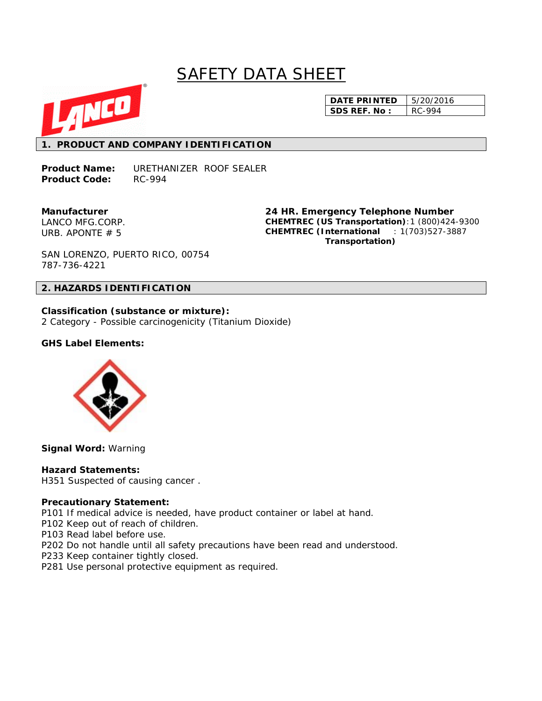# SAFETY DATA SHEET



**DATE PRINTED** | 5/20/2016 **SDS REF. No :** RC-994

# **1. PRODUCT AND COMPANY IDENTIFICATION**

**Product Name:** URETHANIZER ROOF SEALER Product Code: RC-994

**Manufacturer**  LANCO MFG.CORP. URB. APONTE # 5

**24 HR. Emergency Telephone Number CHEMTREC (US Transportation)**:1 (800)424-9300 **CHEMTREC (International** : 1(703)527-3887  **Transportation)**

SAN LORENZO, PUERTO RICO, 00754 787-736-4221

### **2. HAZARDS IDENTIFICATION**

**Classification (substance or mixture):**  2 Category - Possible carcinogenicity (Titanium Dioxide)

### **GHS Label Elements:**



**Signal Word:** Warning

#### **Hazard Statements:**

H351 Suspected of causing cancer .

#### **Precautionary Statement:**

P101 If medical advice is needed, have product container or label at hand.

- P102 Keep out of reach of children.
- P103 Read label before use.
- P202 Do not handle until all safety precautions have been read and understood.
- P233 Keep container tightly closed.
- P281 Use personal protective equipment as required.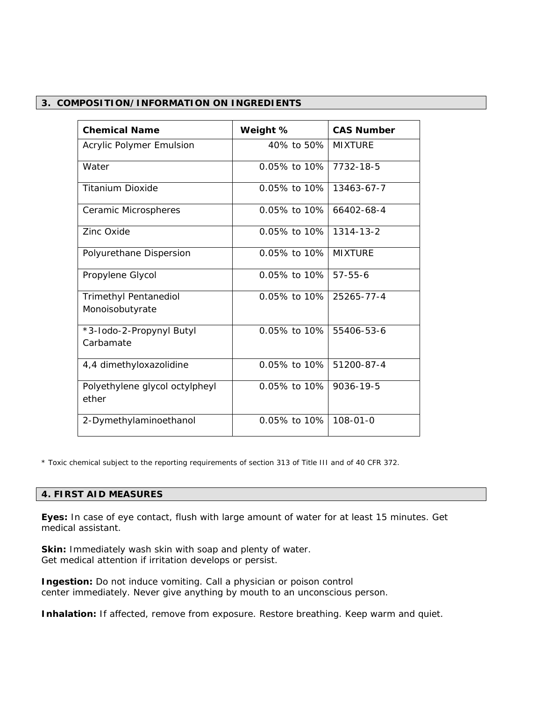## **3. COMPOSITION/INFORMATION ON INGREDIENTS**

| <b>Chemical Name</b>                            | Weight %        | <b>CAS Number</b> |
|-------------------------------------------------|-----------------|-------------------|
| <b>Acrylic Polymer Emulsion</b>                 | 40% to 50%      | <b>MIXTURE</b>    |
| Water                                           | $0.05\%$ to 10% | 7732-18-5         |
| <b>Titanium Dioxide</b>                         | $0.05\%$ to 10% | 13463-67-7        |
| Ceramic Microspheres                            | $0.05\%$ to 10% | 66402-68-4        |
| Zinc Oxide                                      | $0.05\%$ to 10% | $1314 - 13 - 2$   |
| Polyurethane Dispersion                         | $0.05\%$ to 10% | <b>MIXTURF</b>    |
| Propylene Glycol                                | $0.05\%$ to 10% | $57 - 55 - 6$     |
| <b>Trimethyl Pentanediol</b><br>Monoisobutyrate | $0.05\%$ to 10% | 25265-77-4        |
| *3-lodo-2-Propynyl Butyl<br>Carbamate           | $0.05\%$ to 10% | 55406-53-6        |
| 4,4 dimethyloxazolidine                         | $0.05\%$ to 10% | 51200-87-4        |
| Polyethylene glycol octylpheyl<br>ether         | $0.05\%$ to 10% | 9036-19-5         |
| 2-Dymethylaminoethanol                          | $0.05\%$ to 10% | $108 - 01 - 0$    |

\* Toxic chemical subject to the reporting requirements of section 313 of Title III and of 40 CFR 372.

#### **4. FIRST AID MEASURES**

**Eyes:** In case of eye contact, flush with large amount of water for at least 15 minutes. Get medical assistant.

**Skin:** Immediately wash skin with soap and plenty of water. Get medical attention if irritation develops or persist.

**Ingestion:** Do not induce vomiting. Call a physician or poison control center immediately. Never give anything by mouth to an unconscious person.

Inhalation: If affected, remove from exposure. Restore breathing. Keep warm and quiet.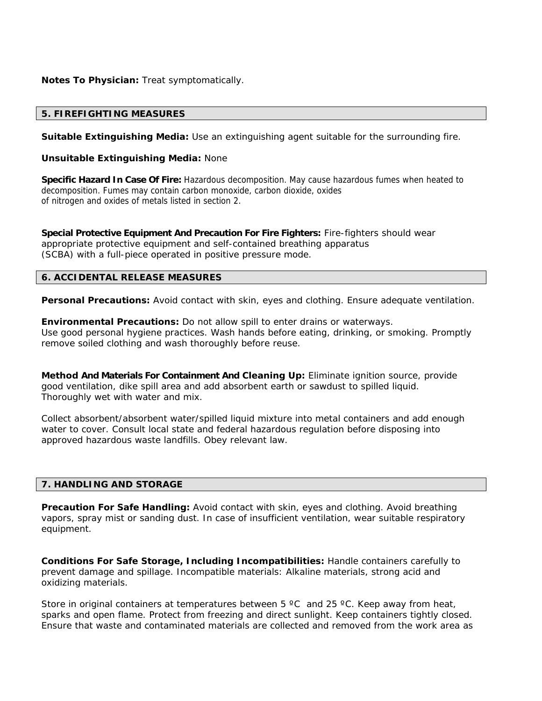**Notes To Physician:** Treat symptomatically.

# **5. FIREFIGHTING MEASURES**

**Suitable Extinguishing Media:** Use an extinguishing agent suitable for the surrounding fire.

**Unsuitable Extinguishing Media:** None

**Specific Hazard In Case Of Fire:** Hazardous decomposition. May cause hazardous fumes when heated to decomposition. Fumes may contain carbon monoxide, carbon dioxide, oxides of nitrogen and oxides of metals listed in section 2.

**Special Protective Equipment And Precaution For Fire Fighters:** Fire-fighters should wear appropriate protective equipment and self-contained breathing apparatus (SCBA) with a full-piece operated in positive pressure mode.

# **6. ACCIDENTAL RELEASE MEASURES**

**Personal Precautions:** Avoid contact with skin, eyes and clothing. Ensure adequate ventilation.

**Environmental Precautions:** Do not allow spill to enter drains or waterways. Use good personal hygiene practices. Wash hands before eating, drinking, or smoking. Promptly remove soiled clothing and wash thoroughly before reuse.

**Method And Materials For Containment And Cleaning Up:** Eliminate ignition source, provide good ventilation, dike spill area and add absorbent earth or sawdust to spilled liquid. Thoroughly wet with water and mix.

Collect absorbent/absorbent water/spilled liquid mixture into metal containers and add enough water to cover. Consult local state and federal hazardous regulation before disposing into approved hazardous waste landfills. Obey relevant law.

# **7. HANDLING AND STORAGE**

**Precaution For Safe Handling:** Avoid contact with skin, eyes and clothing. Avoid breathing vapors, spray mist or sanding dust. In case of insufficient ventilation, wear suitable respiratory equipment.

**Conditions For Safe Storage, Including Incompatibilities:** Handle containers carefully to prevent damage and spillage. Incompatible materials: Alkaline materials, strong acid and oxidizing materials.

Store in original containers at temperatures between  $5^{\circ}$ C and 25 °C. Keep away from heat, sparks and open flame. Protect from freezing and direct sunlight. Keep containers tightly closed. Ensure that waste and contaminated materials are collected and removed from the work area as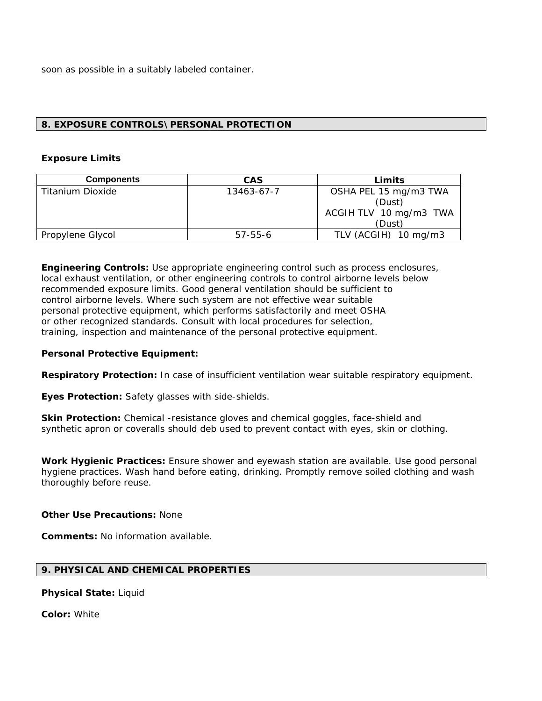soon as possible in a suitably labeled container.

# **8. EXPOSURE CONTROLS\PERSONAL PROTECTION**

## **Exposure Limits**

| <b>Components</b> | <b>CAS</b>    | Limits                 |
|-------------------|---------------|------------------------|
| Titanium Dioxide  | 13463-67-7    | OSHA PEL 15 mg/m3 TWA  |
|                   |               | (Dust)                 |
|                   |               | ACGIH TLV 10 mg/m3 TWA |
|                   |               | (Dust)                 |
| Propylene Glycol  | $57 - 55 - 6$ | TLV (ACGIH) 10 mg/m3   |

**Engineering Controls:** Use appropriate engineering control such as process enclosures, local exhaust ventilation, or other engineering controls to control airborne levels below recommended exposure limits. Good general ventilation should be sufficient to control airborne levels. Where such system are not effective wear suitable personal protective equipment, which performs satisfactorily and meet OSHA or other recognized standards. Consult with local procedures for selection, training, inspection and maintenance of the personal protective equipment.

# **Personal Protective Equipment:**

**Respiratory Protection:** In case of insufficient ventilation wear suitable respiratory equipment.

**Eyes Protection:** Safety glasses with side-shields.

**Skin Protection:** Chemical -resistance gloves and chemical goggles, face-shield and synthetic apron or coveralls should deb used to prevent contact with eyes, skin or clothing.

**Work Hygienic Practices:** Ensure shower and eyewash station are available. Use good personal hygiene practices. Wash hand before eating, drinking. Promptly remove soiled clothing and wash thoroughly before reuse.

**Other Use Precautions:** None

**Comments:** No information available.

# **9. PHYSICAL AND CHEMICAL PROPERTIES**

**Physical State:** Liquid

**Color:** White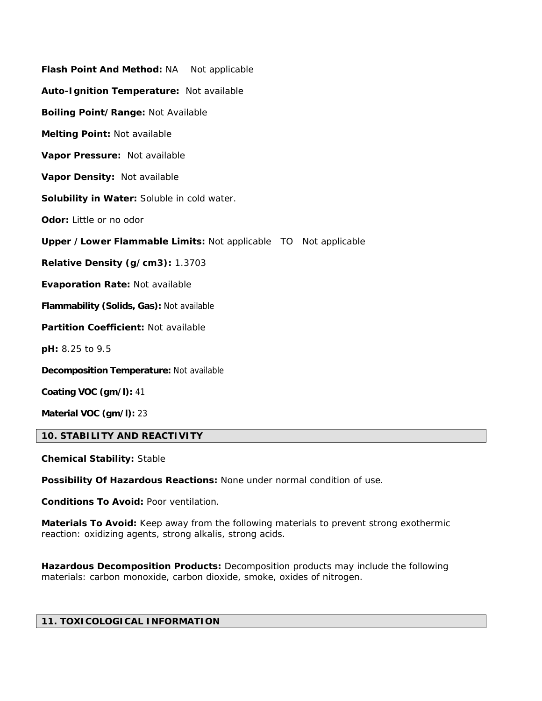| Flash Point And Method: NA Not applicable                               |
|-------------------------------------------------------------------------|
| Auto-Ignition Temperature: Not available                                |
| Boiling Point/Range: Not Available                                      |
| Melting Point: Not available                                            |
| Vapor Pressure: Not available                                           |
| Vapor Density: Not available                                            |
| Solubility in Water: Soluble in cold water.                             |
| Odor: Little or no odor                                                 |
| <b>Upper / Lower Flammable Limits: Not applicable TO Not applicable</b> |
| Relative Density (g/cm3): 1.3703                                        |
| <b>Evaporation Rate: Not available</b>                                  |
| Flammability (Solids, Gas): Not available                               |
| Partition Coefficient: Not available                                    |
| pH: 8.25 to 9.5                                                         |
| <b>Decomposition Temperature: Not available</b>                         |
| Coating VOC (gm/l): 41                                                  |
| Material VOC (gm/l): 23                                                 |

# **10. STABILITY AND REACTIVITY**

**Chemical Stability:** Stable

**Possibility Of Hazardous Reactions:** None under normal condition of use.

**Conditions To Avoid:** Poor ventilation.

**Materials To Avoid:** Keep away from the following materials to prevent strong exothermic reaction: oxidizing agents, strong alkalis, strong acids.

**Hazardous Decomposition Products:** Decomposition products may include the following materials: carbon monoxide, carbon dioxide, smoke, oxides of nitrogen.

# **11. TOXICOLOGICAL INFORMATION**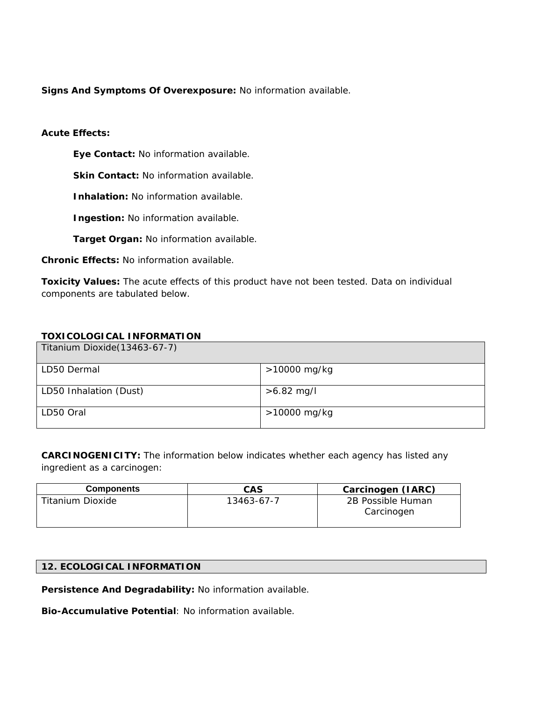**Signs And Symptoms Of Overexposure:** No information available.

# **Acute Effects:**

 **Eye Contact:** No information available.

**Skin Contact: No information available.** 

 **Inhalation:** No information available.

 **Ingestion:** No information available.

 **Target Organ:** No information available.

**Chronic Effects:** No information available.

**Toxicity Values:** The acute effects of this product have not been tested. Data on individual components are tabulated below.

# **TOXICOLOGICAL INFORMATION**

| Titanium Dioxide (13463-67-7) |              |
|-------------------------------|--------------|
| LD50 Dermal                   | >10000 mg/kg |
| LD50 Inhalation (Dust)        | $>6.82$ mg/l |
| LD50 Oral                     | >10000 mg/kg |

**CARCINOGENICITY:** The information below indicates whether each agency has listed any ingredient as a carcinogen:

| <b>Components</b> | CAS        | Carcinogen (IARC)               |
|-------------------|------------|---------------------------------|
| Titanium Dioxide  | 13463-67-7 | 2B Possible Human<br>Carcinogen |

# **12. ECOLOGICAL INFORMATION**

**Persistence And Degradability:** No information available.

**Bio-Accumulative Potential**: No information available.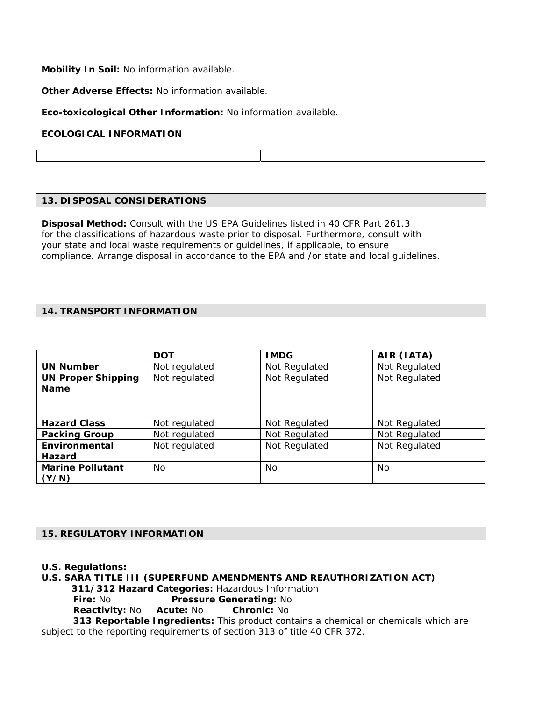**Mobility In Soil:** No information available.

**Other Adverse Effects:** No information available.

**Eco-toxicological Other Information:** No information available.

# **ECOLOGICAL INFORMATION**

# **13. DISPOSAL CONSIDERATIONS**

**Disposal Method:** Consult with the US EPA Guidelines listed in 40 CFR Part 261.3 for the classifications of hazardous waste prior to disposal. Furthermore, consult with your state and local waste requirements or guidelines, if applicable, to ensure compliance. Arrange disposal in accordance to the EPA and /or state and local guidelines.

# **14. TRANSPORT INFORMATION**

|                           | <b>DOT</b>    | <b>IMDG</b>   | AIR (IATA)    |
|---------------------------|---------------|---------------|---------------|
| <b>UN Number</b>          | Not regulated | Not Regulated | Not Regulated |
| <b>UN Proper Shipping</b> | Not regulated | Not Regulated | Not Regulated |
| <b>Name</b>               |               |               |               |
|                           |               |               |               |
|                           |               |               |               |
| <b>Hazard Class</b>       | Not regulated | Not Regulated | Not Regulated |
| <b>Packing Group</b>      | Not regulated | Not Regulated | Not Regulated |
| Environmental             | Not regulated | Not Regulated | Not Regulated |
| Hazard                    |               |               |               |
| <b>Marine Pollutant</b>   | No.           | No.           | No.           |
| (Y/N)                     |               |               |               |

# **15. REGULATORY INFORMATION**

**U.S. Regulations:** 

**U.S. SARA TITLE III (SUPERFUND AMENDMENTS AND REAUTHORIZATION ACT) 311/312 Hazard Categories:** Hazardous Information **Fire: No Pressure Generating: No Reactivity:** No **Acute:** No **Chronic:** No  **313 Reportable Ingredients:** This product contains a chemical or chemicals which are

subject to the reporting requirements of section 313 of title 40 CFR 372.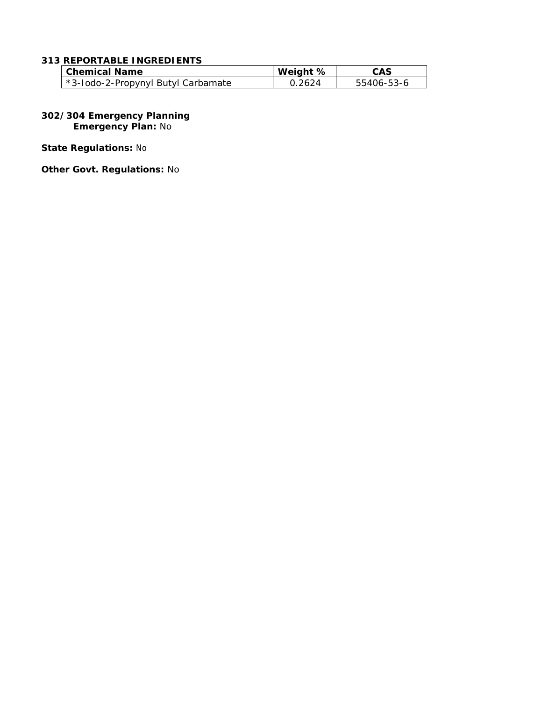# **313 REPORTABLE INGREDIENTS**

| <b>Chemical Name</b>               | Weight %        | CAS        |
|------------------------------------|-----------------|------------|
| *3-lodo-2-Propynyl Butyl Carbamate | <u> በ 2624 </u> | 55406-53-6 |

#### **302/304 Emergency Planning Emergency Plan:** No

**State Regulations:** No

**Other Govt. Regulations:** No